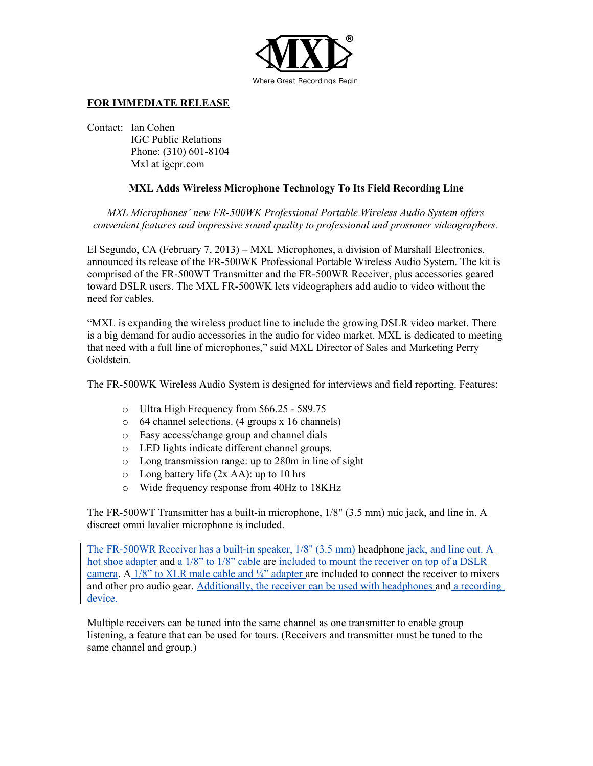

## **FOR IMMEDIATE RELEASE**

Contact: Ian Cohen

IGC Public Relations Phone: (310) 601-8104 Mxl at igcpr.com

## **MXL Adds Wireless Microphone Technology To Its Field Recording Line**

*MXL Microphones' new FR-500WK Professional Portable Wireless Audio System offers convenient features and impressive sound quality to professional and prosumer videographers.*

El Segundo, CA (February 7, 2013) – MXL Microphones, a division of Marshall Electronics, announced its release of the FR-500WK Professional Portable Wireless Audio System. The kit is comprised of the FR-500WT Transmitter and the FR-500WR Receiver, plus accessories geared toward DSLR users. The MXL FR-500WK lets videographers add audio to video without the need for cables.

"MXL is expanding the wireless product line to include the growing DSLR video market. There is a big demand for audio accessories in the audio for video market. MXL is dedicated to meeting that need with a full line of microphones," said MXL Director of Sales and Marketing Perry Goldstein.

The FR-500WK Wireless Audio System is designed for interviews and field reporting. Features:

- o Ultra High Frequency from 566.25 589.75
- o 64 channel selections. (4 groups x 16 channels)
- o Easy access/change group and channel dials
- o LED lights indicate different channel groups.
- o Long transmission range: up to 280m in line of sight
- $\circ$  Long battery life (2x AA): up to 10 hrs
- o Wide frequency response from 40Hz to 18KHz

The FR-500WT Transmitter has a built-in microphone, 1/8" (3.5 mm) mic jack, and line in. A discreet omni lavalier microphone is included.

The FR-500WR Receiver has a built-in speaker, 1/8" (3.5 mm) headphone jack, and line out. A hot shoe adapter and a 1/8" to 1/8" cable are included to mount the receiver on top of a DSLR camera. A  $1/8$ " to XLR male cable and  $\frac{1}{4}$ " adapter are included to connect the receiver to mixers and other pro audio gear. Additionally, the receiver can be used with headphones and a recording device.

Multiple receivers can be tuned into the same channel as one transmitter to enable group listening, a feature that can be used for tours. (Receivers and transmitter must be tuned to the same channel and group.)